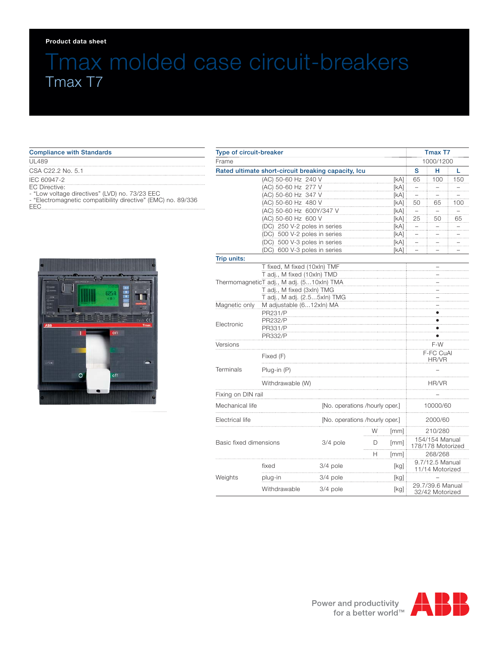#### **Product data sheet**

EEC

# Tmax molded case circuit-breakers Tmax T7

| <b>Compliance with Standards</b>                             |
|--------------------------------------------------------------|
| UL489                                                        |
| CSA C22.2 No. 5.1                                            |
| IEC 60947-2                                                  |
| <b>EC Directive:</b>                                         |
| - "Low voltage directives" (LVD) no. 73/23 EEC               |
| - "Electromagnetic compatibility directive" (EMC) no. 89/336 |

| Type of circuit-breaker    |                                                              |                                |                                |                    | Tmax T7                             |                                     |     |
|----------------------------|--------------------------------------------------------------|--------------------------------|--------------------------------|--------------------|-------------------------------------|-------------------------------------|-----|
| Frame                      |                                                              |                                |                                |                    | 1000/1200                           |                                     |     |
|                            | Rated ultimate short-circuit breaking capacity, Icu          |                                |                                |                    |                                     | н                                   | L   |
|                            | (AC) 50-60 Hz 240 V                                          |                                |                                | [kA]               | 65                                  | 100                                 | 150 |
|                            | (AC) 50-60 Hz 277 V                                          |                                |                                | [KA]               |                                     |                                     |     |
|                            | (AC) 50-60 Hz 347 V                                          |                                |                                | [kA]               |                                     |                                     |     |
|                            | (AC) 50-60 Hz 480 V                                          |                                |                                | [kA]               | 50                                  | 65                                  | 100 |
|                            | (AC) 50-60 Hz 600Y/347 V<br>[kA]                             |                                |                                |                    |                                     |                                     |     |
|                            | (AC) 50-60 Hz 600 V<br>[kA]                                  |                                |                                |                    | 25                                  | 50                                  | 65  |
|                            | (DC) 250 V-2 poles in series<br>(DC) 500 V-2 poles in series |                                |                                | [kA]               |                                     |                                     |     |
|                            | (DC) 500 V-3 poles in series                                 |                                |                                | [kA]<br>[KA]       |                                     |                                     |     |
|                            | (DC) 600 V-3 poles in series                                 |                                |                                | [kA]               |                                     |                                     |     |
| Trip units:                |                                                              |                                |                                |                    |                                     |                                     |     |
|                            | T fixed, M fixed (10xln) TMF                                 |                                |                                |                    |                                     |                                     |     |
|                            | T adj., M fixed (10xln) TMD                                  |                                |                                |                    |                                     |                                     |     |
|                            | ThermomagneticT adj., M adj. (510xln) TMA                    |                                |                                |                    |                                     |                                     |     |
| T adj., M fixed (3xln) TMG |                                                              |                                |                                |                    |                                     |                                     |     |
|                            | T adj., M adj. (2.55xln) TMG                                 |                                |                                |                    |                                     |                                     |     |
| Magnetic only              | M adjustable (612xln) MA                                     |                                |                                |                    |                                     |                                     |     |
|                            | PR231/P                                                      |                                |                                |                    |                                     |                                     |     |
| Electronic                 | <b>PR232/P</b>                                               |                                |                                |                    |                                     |                                     |     |
|                            | PR331/P<br><b>PR332/P</b>                                    |                                |                                |                    |                                     |                                     |     |
| Versions                   |                                                              |                                |                                |                    |                                     | F-W                                 |     |
|                            |                                                              |                                |                                |                    |                                     | F-FC CuAl                           |     |
| Terminals                  | Fixed (F)                                                    |                                |                                |                    | HR/VR                               |                                     |     |
|                            | $Plug-in(P)$                                                 |                                |                                |                    |                                     |                                     |     |
|                            | Withdrawable (W)                                             |                                |                                |                    | HR/VR                               |                                     |     |
| Fixing on DIN rail         |                                                              |                                |                                |                    |                                     |                                     |     |
| Mechanical life            |                                                              |                                | [No. operations /hourly oper.] |                    | 10000/60<br>.                       |                                     |     |
| Electrical life            |                                                              | [No. operations /hourly oper.] |                                |                    | 2000/60                             |                                     |     |
|                            |                                                              |                                | W                              | [mm]               |                                     | 210/280                             |     |
| Basic fixed dimensions     |                                                              | 3/4 pole                       | D                              | [mm]               | 154/154 Manual<br>178/178 Motorized |                                     |     |
|                            |                                                              |                                | н                              | $\lceil mm \rceil$ |                                     | 268/268                             |     |
|                            | fixed                                                        | 3/4 pole                       |                                | [kg]               |                                     | 9.7/12.5 Manual<br>11/14 Motorized  |     |
| Weights                    | plug-in                                                      | 3/4 pole                       | [kg]                           |                    |                                     |                                     |     |
|                            | Withdrawable                                                 | $3/4$ pole                     |                                | [kg]               |                                     | 29.7/39.6 Manual<br>32/42 Motorized |     |

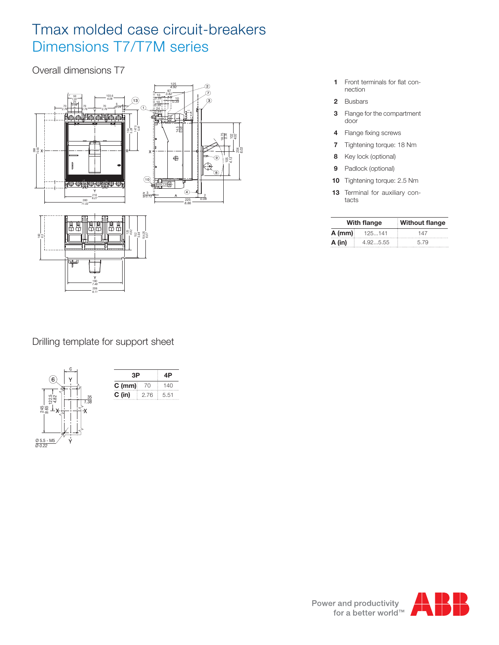# Tmax molded case circuit-breakers Dimensions T7/T7M series

Overall dimensions T7



Drilling template for support sheet





- **1** Front terminals for flat connection
- **2** Busbars
- **3** Flange for the compartment door
- 4 Flange fixing screws
- **7** Tightening torque: 18 Nm
- **8** Key lock (optional)
- **9** Padlock (optional)
- **10** Tightening torque: 2.5 Nm
- **13** Terminal for auxiliary contacts

|          | <b>With flange</b> | <b>Without flange</b> |  |  |
|----------|--------------------|-----------------------|--|--|
| $A$ (mm) | 125141             | 147                   |  |  |
| A (in)   | 4.925.55           | 5.79                  |  |  |

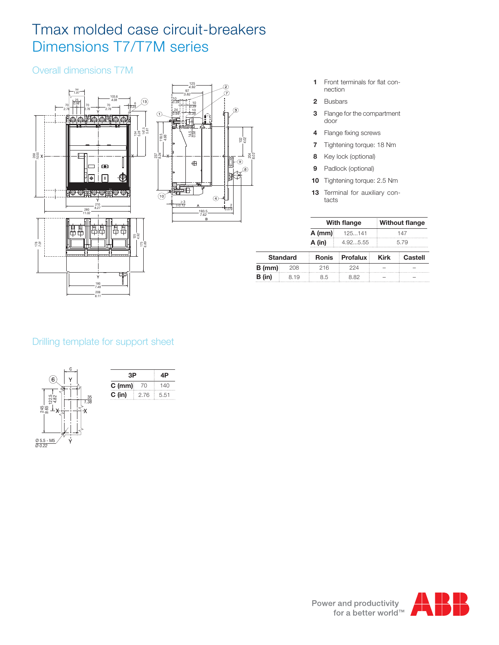# Tmax molded case circuit-breakers Dimensions T7/T7M series

### Overall dimensions T7M



- **1** Front terminals for flat connection
- **2** Busbars

*8.03*

- **3** Flange for the compartment door
- 4 Flange fixing screws
- **7** Tightening torque: 18 Nm
- **8** Key lock (optional)
- **9** Padlock (optional)
- **10** Tightening torque: 2.5 Nm
- **13** Terminal for auxiliary contacts

|           | With flange | <b>Without flange</b> |  |  |
|-----------|-------------|-----------------------|--|--|
| $A$ (mm): | 125141      | 147                   |  |  |
| A (in)    | 4.925.55    | 5.79                  |  |  |

|          | <b>Standard</b> |     | Ronis Profalux Kirk | ⊟ Castell |
|----------|-----------------|-----|---------------------|-----------|
| $B$ (mm) | 208             | 216 | 22 A                |           |
| B (in)   | 8.19            | 85  | 8.82                |           |

### Drilling template for support sheet